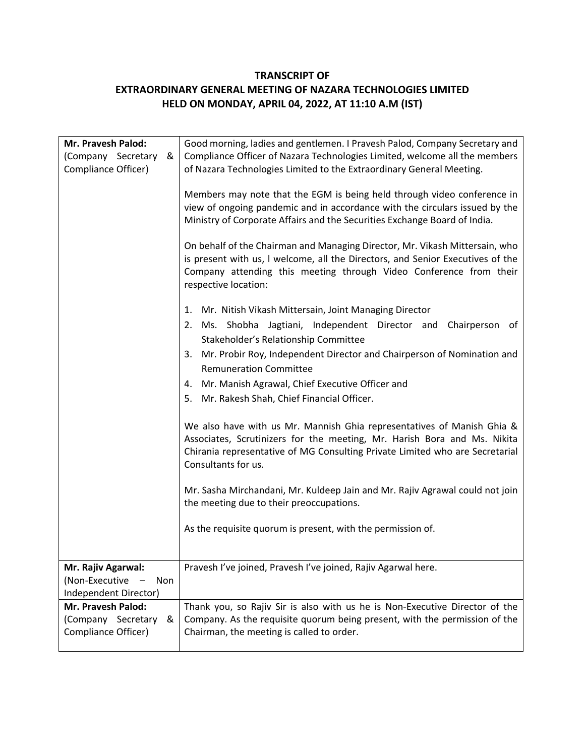## **TRANSCRIPT OF**

## **EXTRAORDINARY GENERAL MEETING OF NAZARA TECHNOLOGIES LIMITED HELD ON MONDAY, APRIL 04, 2022, AT 11:10 A.M (IST)**

| Mr. Pravesh Palod:<br>(Company Secretary<br>&<br>Compliance Officer)                          | Good morning, ladies and gentlemen. I Pravesh Palod, Company Secretary and<br>Compliance Officer of Nazara Technologies Limited, welcome all the members<br>of Nazara Technologies Limited to the Extraordinary General Meeting.<br>Members may note that the EGM is being held through video conference in<br>view of ongoing pandemic and in accordance with the circulars issued by the |
|-----------------------------------------------------------------------------------------------|--------------------------------------------------------------------------------------------------------------------------------------------------------------------------------------------------------------------------------------------------------------------------------------------------------------------------------------------------------------------------------------------|
|                                                                                               | Ministry of Corporate Affairs and the Securities Exchange Board of India.<br>On behalf of the Chairman and Managing Director, Mr. Vikash Mittersain, who<br>is present with us, I welcome, all the Directors, and Senior Executives of the<br>Company attending this meeting through Video Conference from their<br>respective location:                                                   |
|                                                                                               | Mr. Nitish Vikash Mittersain, Joint Managing Director<br>1.<br>2. Ms. Shobha Jagtiani, Independent Director and Chairperson of<br>Stakeholder's Relationship Committee<br>3. Mr. Probir Roy, Independent Director and Chairperson of Nomination and<br><b>Remuneration Committee</b><br>4. Mr. Manish Agrawal, Chief Executive Officer and<br>5. Mr. Rakesh Shah, Chief Financial Officer. |
|                                                                                               | We also have with us Mr. Mannish Ghia representatives of Manish Ghia &<br>Associates, Scrutinizers for the meeting, Mr. Harish Bora and Ms. Nikita<br>Chirania representative of MG Consulting Private Limited who are Secretarial<br>Consultants for us.                                                                                                                                  |
|                                                                                               | Mr. Sasha Mirchandani, Mr. Kuldeep Jain and Mr. Rajiv Agrawal could not join<br>the meeting due to their preoccupations.<br>As the requisite quorum is present, with the permission of.                                                                                                                                                                                                    |
| Mr. Rajiv Agarwal:<br>(Non-Executive<br><b>Non</b>                                            | Pravesh I've joined, Pravesh I've joined, Rajiv Agarwal here.                                                                                                                                                                                                                                                                                                                              |
| Independent Director)<br>Mr. Pravesh Palod:<br>(Company Secretary<br>&<br>Compliance Officer) | Thank you, so Rajiv Sir is also with us he is Non-Executive Director of the<br>Company. As the requisite quorum being present, with the permission of the<br>Chairman, the meeting is called to order.                                                                                                                                                                                     |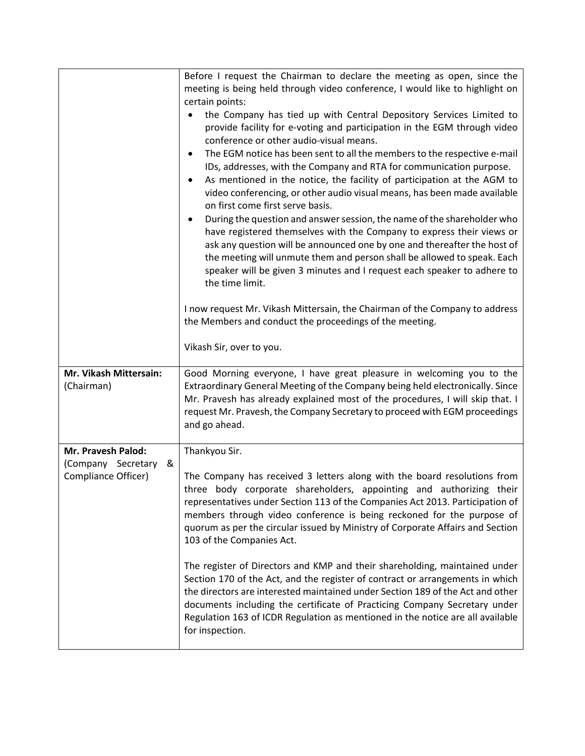|                                               | Before I request the Chairman to declare the meeting as open, since the<br>meeting is being held through video conference, I would like to highlight on<br>certain points:<br>the Company has tied up with Central Depository Services Limited to<br>provide facility for e-voting and participation in the EGM through video<br>conference or other audio-visual means.<br>The EGM notice has been sent to all the members to the respective e-mail<br>٠<br>IDs, addresses, with the Company and RTA for communication purpose.<br>As mentioned in the notice, the facility of participation at the AGM to<br>٠<br>video conferencing, or other audio visual means, has been made available<br>on first come first serve basis.<br>During the question and answer session, the name of the shareholder who<br>have registered themselves with the Company to express their views or<br>ask any question will be announced one by one and thereafter the host of<br>the meeting will unmute them and person shall be allowed to speak. Each<br>speaker will be given 3 minutes and I request each speaker to adhere to |
|-----------------------------------------------|------------------------------------------------------------------------------------------------------------------------------------------------------------------------------------------------------------------------------------------------------------------------------------------------------------------------------------------------------------------------------------------------------------------------------------------------------------------------------------------------------------------------------------------------------------------------------------------------------------------------------------------------------------------------------------------------------------------------------------------------------------------------------------------------------------------------------------------------------------------------------------------------------------------------------------------------------------------------------------------------------------------------------------------------------------------------------------------------------------------------|
|                                               | the time limit.<br>I now request Mr. Vikash Mittersain, the Chairman of the Company to address<br>the Members and conduct the proceedings of the meeting.<br>Vikash Sir, over to you.                                                                                                                                                                                                                                                                                                                                                                                                                                                                                                                                                                                                                                                                                                                                                                                                                                                                                                                                  |
| Mr. Vikash Mittersain:<br>(Chairman)          | Good Morning everyone, I have great pleasure in welcoming you to the<br>Extraordinary General Meeting of the Company being held electronically. Since<br>Mr. Pravesh has already explained most of the procedures, I will skip that. I<br>request Mr. Pravesh, the Company Secretary to proceed with EGM proceedings<br>and go ahead.                                                                                                                                                                                                                                                                                                                                                                                                                                                                                                                                                                                                                                                                                                                                                                                  |
| Mr. Pravesh Palod:<br>(Company Secretary<br>& | Thankyou Sir.                                                                                                                                                                                                                                                                                                                                                                                                                                                                                                                                                                                                                                                                                                                                                                                                                                                                                                                                                                                                                                                                                                          |
| Compliance Officer)                           | The Company has received 3 letters along with the board resolutions from<br>three body corporate shareholders, appointing and authorizing their<br>representatives under Section 113 of the Companies Act 2013. Participation of<br>members through video conference is being reckoned for the purpose of<br>quorum as per the circular issued by Ministry of Corporate Affairs and Section<br>103 of the Companies Act.                                                                                                                                                                                                                                                                                                                                                                                                                                                                                                                                                                                                                                                                                               |
|                                               | The register of Directors and KMP and their shareholding, maintained under<br>Section 170 of the Act, and the register of contract or arrangements in which<br>the directors are interested maintained under Section 189 of the Act and other<br>documents including the certificate of Practicing Company Secretary under<br>Regulation 163 of ICDR Regulation as mentioned in the notice are all available<br>for inspection.                                                                                                                                                                                                                                                                                                                                                                                                                                                                                                                                                                                                                                                                                        |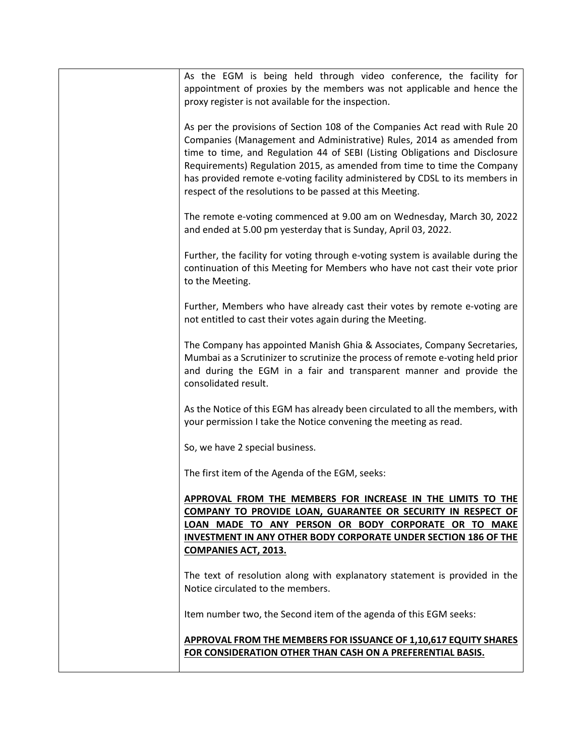| As the EGM is being held through video conference, the facility for<br>appointment of proxies by the members was not applicable and hence the<br>proxy register is not available for the inspection.                                                                                                                                                                                                                                                       |
|------------------------------------------------------------------------------------------------------------------------------------------------------------------------------------------------------------------------------------------------------------------------------------------------------------------------------------------------------------------------------------------------------------------------------------------------------------|
| As per the provisions of Section 108 of the Companies Act read with Rule 20<br>Companies (Management and Administrative) Rules, 2014 as amended from<br>time to time, and Regulation 44 of SEBI (Listing Obligations and Disclosure<br>Requirements) Regulation 2015, as amended from time to time the Company<br>has provided remote e-voting facility administered by CDSL to its members in<br>respect of the resolutions to be passed at this Meeting. |
| The remote e-voting commenced at 9.00 am on Wednesday, March 30, 2022<br>and ended at 5.00 pm yesterday that is Sunday, April 03, 2022.                                                                                                                                                                                                                                                                                                                    |
| Further, the facility for voting through e-voting system is available during the<br>continuation of this Meeting for Members who have not cast their vote prior<br>to the Meeting.                                                                                                                                                                                                                                                                         |
| Further, Members who have already cast their votes by remote e-voting are<br>not entitled to cast their votes again during the Meeting.                                                                                                                                                                                                                                                                                                                    |
| The Company has appointed Manish Ghia & Associates, Company Secretaries,<br>Mumbai as a Scrutinizer to scrutinize the process of remote e-voting held prior<br>and during the EGM in a fair and transparent manner and provide the<br>consolidated result.                                                                                                                                                                                                 |
| As the Notice of this EGM has already been circulated to all the members, with<br>your permission I take the Notice convening the meeting as read.                                                                                                                                                                                                                                                                                                         |
| So, we have 2 special business.                                                                                                                                                                                                                                                                                                                                                                                                                            |
| The first item of the Agenda of the EGM, seeks:                                                                                                                                                                                                                                                                                                                                                                                                            |
| APPROVAL FROM THE MEMBERS FOR INCREASE IN THE LIMITS TO THE<br>COMPANY TO PROVIDE LOAN, GUARANTEE OR SECURITY IN RESPECT OF<br>LOAN MADE TO ANY PERSON OR BODY CORPORATE OR TO MAKE<br><b>INVESTMENT IN ANY OTHER BODY CORPORATE UNDER SECTION 186 OF THE</b><br><b>COMPANIES ACT, 2013.</b>                                                                                                                                                               |
| The text of resolution along with explanatory statement is provided in the<br>Notice circulated to the members.                                                                                                                                                                                                                                                                                                                                            |
| Item number two, the Second item of the agenda of this EGM seeks:                                                                                                                                                                                                                                                                                                                                                                                          |
| APPROVAL FROM THE MEMBERS FOR ISSUANCE OF 1,10,617 EQUITY SHARES<br>FOR CONSIDERATION OTHER THAN CASH ON A PREFERENTIAL BASIS.                                                                                                                                                                                                                                                                                                                             |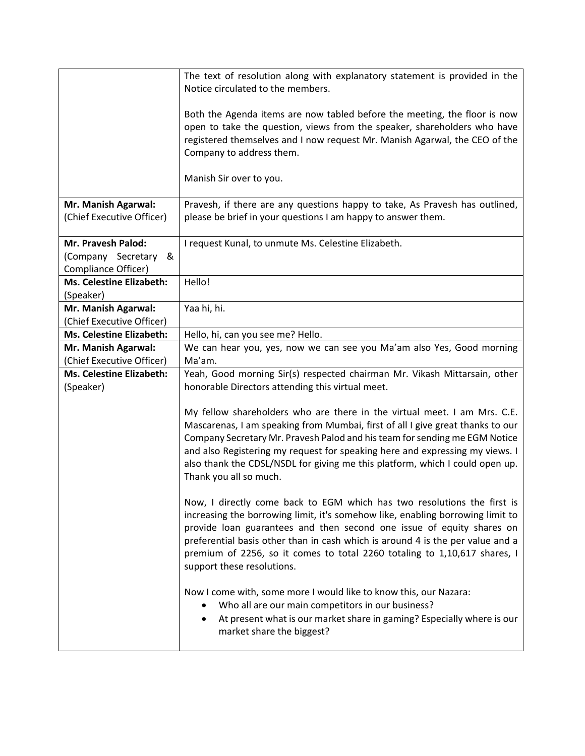|                                 | The text of resolution along with explanatory statement is provided in the     |
|---------------------------------|--------------------------------------------------------------------------------|
|                                 | Notice circulated to the members.                                              |
|                                 |                                                                                |
|                                 | Both the Agenda items are now tabled before the meeting, the floor is now      |
|                                 | open to take the question, views from the speaker, shareholders who have       |
|                                 | registered themselves and I now request Mr. Manish Agarwal, the CEO of the     |
|                                 | Company to address them.                                                       |
|                                 |                                                                                |
|                                 | Manish Sir over to you.                                                        |
|                                 |                                                                                |
| Mr. Manish Agarwal:             | Pravesh, if there are any questions happy to take, As Pravesh has outlined,    |
| (Chief Executive Officer)       | please be brief in your questions I am happy to answer them.                   |
|                                 |                                                                                |
| Mr. Pravesh Palod:              | I request Kunal, to unmute Ms. Celestine Elizabeth.                            |
| (Company Secretary<br>&         |                                                                                |
| Compliance Officer)             |                                                                                |
| <b>Ms. Celestine Elizabeth:</b> | Hello!                                                                         |
| (Speaker)                       |                                                                                |
| Mr. Manish Agarwal:             | Yaa hi, hi.                                                                    |
| (Chief Executive Officer)       |                                                                                |
| Ms. Celestine Elizabeth:        | Hello, hi, can you see me? Hello.                                              |
| Mr. Manish Agarwal:             | We can hear you, yes, now we can see you Ma'am also Yes, Good morning          |
| (Chief Executive Officer)       | Ma'am.                                                                         |
| <b>Ms. Celestine Elizabeth:</b> | Yeah, Good morning Sir(s) respected chairman Mr. Vikash Mittarsain, other      |
| (Speaker)                       | honorable Directors attending this virtual meet.                               |
|                                 |                                                                                |
|                                 | My fellow shareholders who are there in the virtual meet. I am Mrs. C.E.       |
|                                 | Mascarenas, I am speaking from Mumbai, first of all I give great thanks to our |
|                                 | Company Secretary Mr. Pravesh Palod and his team for sending me EGM Notice     |
|                                 | and also Registering my request for speaking here and expressing my views. I   |
|                                 | also thank the CDSL/NSDL for giving me this platform, which I could open up.   |
|                                 | Thank you all so much.                                                         |
|                                 |                                                                                |
|                                 | Now, I directly come back to EGM which has two resolutions the first is        |
|                                 | increasing the borrowing limit, it's somehow like, enabling borrowing limit to |
|                                 | provide loan guarantees and then second one issue of equity shares on          |
|                                 | preferential basis other than in cash which is around 4 is the per value and a |
|                                 | premium of 2256, so it comes to total 2260 totaling to 1,10,617 shares, I      |
|                                 | support these resolutions.                                                     |
|                                 |                                                                                |
|                                 | Now I come with, some more I would like to know this, our Nazara:              |
|                                 | Who all are our main competitors in our business?                              |
|                                 | At present what is our market share in gaming? Especially where is our         |
|                                 | market share the biggest?                                                      |
|                                 |                                                                                |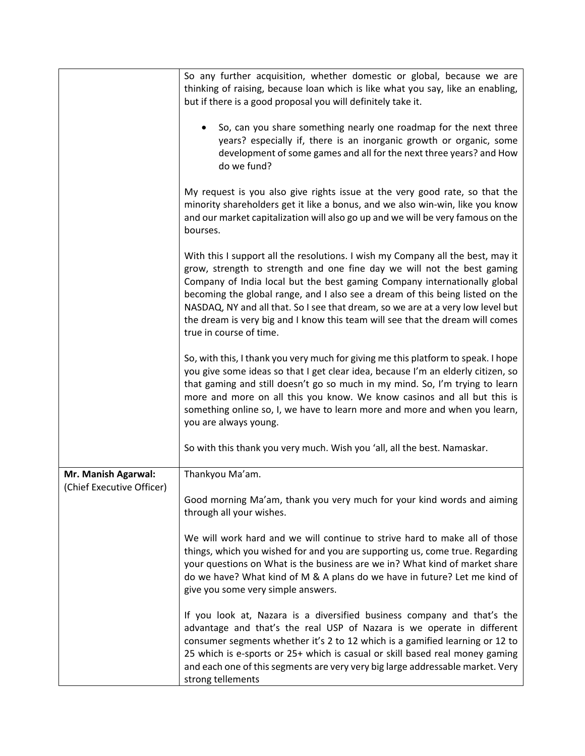|                                                  | So any further acquisition, whether domestic or global, because we are<br>thinking of raising, because loan which is like what you say, like an enabling,<br>but if there is a good proposal you will definitely take it.                                                                                                                                                                                                                                                                                               |
|--------------------------------------------------|-------------------------------------------------------------------------------------------------------------------------------------------------------------------------------------------------------------------------------------------------------------------------------------------------------------------------------------------------------------------------------------------------------------------------------------------------------------------------------------------------------------------------|
|                                                  | So, can you share something nearly one roadmap for the next three<br>$\bullet$<br>years? especially if, there is an inorganic growth or organic, some<br>development of some games and all for the next three years? and How<br>do we fund?                                                                                                                                                                                                                                                                             |
|                                                  | My request is you also give rights issue at the very good rate, so that the<br>minority shareholders get it like a bonus, and we also win-win, like you know<br>and our market capitalization will also go up and we will be very famous on the<br>bourses.                                                                                                                                                                                                                                                             |
|                                                  | With this I support all the resolutions. I wish my Company all the best, may it<br>grow, strength to strength and one fine day we will not the best gaming<br>Company of India local but the best gaming Company internationally global<br>becoming the global range, and I also see a dream of this being listed on the<br>NASDAQ, NY and all that. So I see that dream, so we are at a very low level but<br>the dream is very big and I know this team will see that the dream will comes<br>true in course of time. |
|                                                  | So, with this, I thank you very much for giving me this platform to speak. I hope<br>you give some ideas so that I get clear idea, because I'm an elderly citizen, so<br>that gaming and still doesn't go so much in my mind. So, I'm trying to learn<br>more and more on all this you know. We know casinos and all but this is<br>something online so, I, we have to learn more and more and when you learn,<br>you are always young.                                                                                 |
|                                                  | So with this thank you very much. Wish you 'all, all the best. Namaskar.                                                                                                                                                                                                                                                                                                                                                                                                                                                |
| Mr. Manish Agarwal:<br>(Chief Executive Officer) | Thankyou Ma'am.                                                                                                                                                                                                                                                                                                                                                                                                                                                                                                         |
|                                                  | Good morning Ma'am, thank you very much for your kind words and aiming<br>through all your wishes.                                                                                                                                                                                                                                                                                                                                                                                                                      |
|                                                  | We will work hard and we will continue to strive hard to make all of those<br>things, which you wished for and you are supporting us, come true. Regarding<br>your questions on What is the business are we in? What kind of market share<br>do we have? What kind of M & A plans do we have in future? Let me kind of<br>give you some very simple answers.                                                                                                                                                            |
|                                                  | If you look at, Nazara is a diversified business company and that's the<br>advantage and that's the real USP of Nazara is we operate in different<br>consumer segments whether it's 2 to 12 which is a gamified learning or 12 to<br>25 which is e-sports or 25+ which is casual or skill based real money gaming<br>and each one of this segments are very very big large addressable market. Very<br>strong tellements                                                                                                |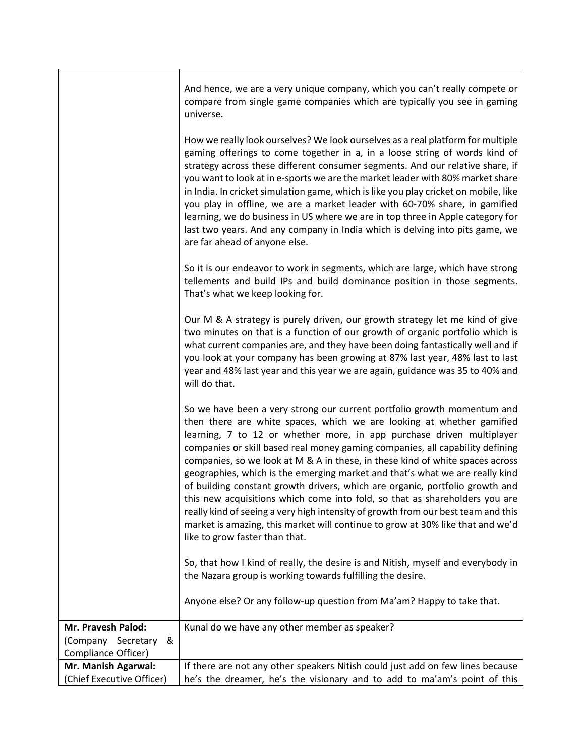|                                                                         | And hence, we are a very unique company, which you can't really compete or<br>compare from single game companies which are typically you see in gaming<br>universe.                                                                                                                                                                                                                                                                                                                                                                                                                                                                                                                                                                                                                                                                                 |
|-------------------------------------------------------------------------|-----------------------------------------------------------------------------------------------------------------------------------------------------------------------------------------------------------------------------------------------------------------------------------------------------------------------------------------------------------------------------------------------------------------------------------------------------------------------------------------------------------------------------------------------------------------------------------------------------------------------------------------------------------------------------------------------------------------------------------------------------------------------------------------------------------------------------------------------------|
|                                                                         | How we really look ourselves? We look ourselves as a real platform for multiple<br>gaming offerings to come together in a, in a loose string of words kind of<br>strategy across these different consumer segments. And our relative share, if<br>you want to look at in e-sports we are the market leader with 80% market share<br>in India. In cricket simulation game, which is like you play cricket on mobile, like<br>you play in offline, we are a market leader with 60-70% share, in gamified<br>learning, we do business in US where we are in top three in Apple category for<br>last two years. And any company in India which is delving into pits game, we<br>are far ahead of anyone else.                                                                                                                                           |
|                                                                         | So it is our endeavor to work in segments, which are large, which have strong<br>tellements and build IPs and build dominance position in those segments.<br>That's what we keep looking for.                                                                                                                                                                                                                                                                                                                                                                                                                                                                                                                                                                                                                                                       |
|                                                                         | Our M & A strategy is purely driven, our growth strategy let me kind of give<br>two minutes on that is a function of our growth of organic portfolio which is<br>what current companies are, and they have been doing fantastically well and if<br>you look at your company has been growing at 87% last year, 48% last to last<br>year and 48% last year and this year we are again, guidance was 35 to 40% and<br>will do that.                                                                                                                                                                                                                                                                                                                                                                                                                   |
|                                                                         | So we have been a very strong our current portfolio growth momentum and<br>then there are white spaces, which we are looking at whether gamified<br>learning, 7 to 12 or whether more, in app purchase driven multiplayer<br>companies or skill based real money gaming companies, all capability defining<br>companies, so we look at M & A in these, in these kind of white spaces across<br>geographies, which is the emerging market and that's what we are really kind<br>of building constant growth drivers, which are organic, portfolio growth and<br>this new acquisitions which come into fold, so that as shareholders you are<br>really kind of seeing a very high intensity of growth from our best team and this<br>market is amazing, this market will continue to grow at 30% like that and we'd<br>like to grow faster than that. |
|                                                                         | So, that how I kind of really, the desire is and Nitish, myself and everybody in<br>the Nazara group is working towards fulfilling the desire.                                                                                                                                                                                                                                                                                                                                                                                                                                                                                                                                                                                                                                                                                                      |
|                                                                         | Anyone else? Or any follow-up question from Ma'am? Happy to take that.                                                                                                                                                                                                                                                                                                                                                                                                                                                                                                                                                                                                                                                                                                                                                                              |
| Mr. Pravesh Palod:<br>Secretary<br>&<br>(Company<br>Compliance Officer) | Kunal do we have any other member as speaker?                                                                                                                                                                                                                                                                                                                                                                                                                                                                                                                                                                                                                                                                                                                                                                                                       |
| Mr. Manish Agarwal:                                                     | If there are not any other speakers Nitish could just add on few lines because                                                                                                                                                                                                                                                                                                                                                                                                                                                                                                                                                                                                                                                                                                                                                                      |
| (Chief Executive Officer)                                               | he's the dreamer, he's the visionary and to add to ma'am's point of this                                                                                                                                                                                                                                                                                                                                                                                                                                                                                                                                                                                                                                                                                                                                                                            |